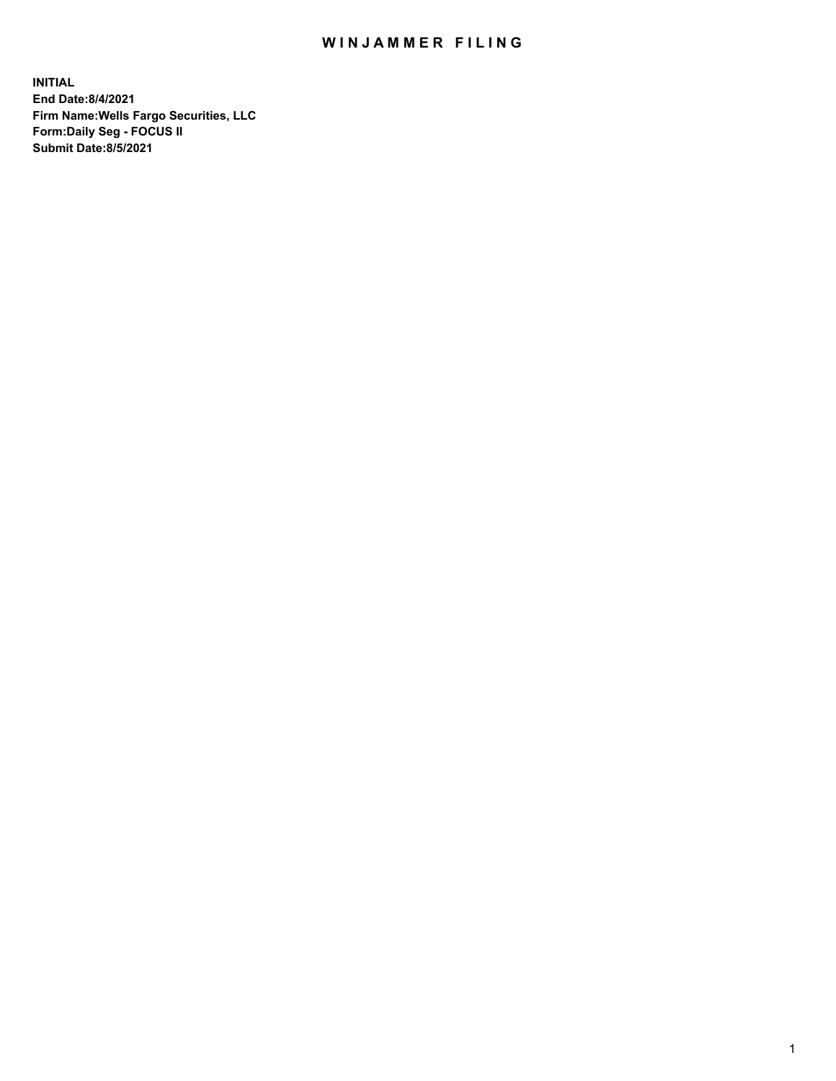## WIN JAMMER FILING

**INITIAL End Date:8/4/2021 Firm Name:Wells Fargo Securities, LLC Form:Daily Seg - FOCUS II Submit Date:8/5/2021**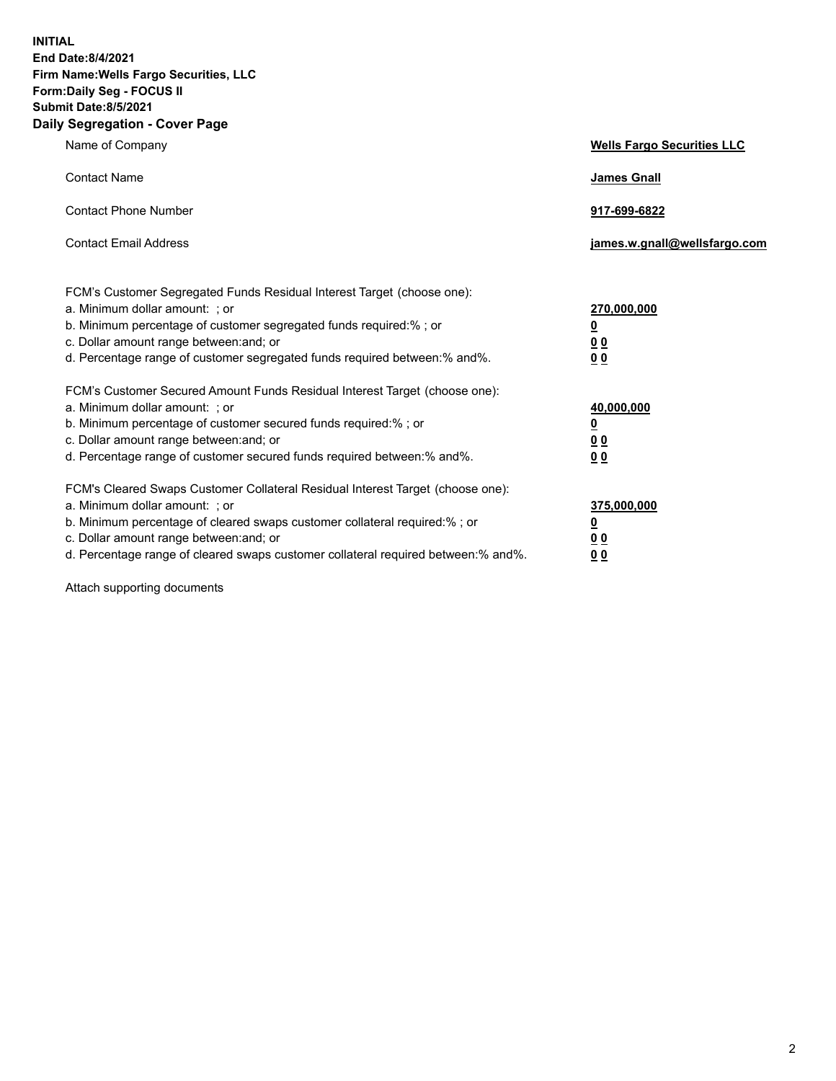**INITIAL End Date:8/4/2021 Firm Name:Wells Fargo Securities, LLC Form:Daily Seg - FOCUS II Submit Date:8/5/2021 Daily Segregation - Cover Page**

| Name of Company                                                                                                                                                                                                                                                                                                                | <b>Wells Fargo Securities LLC</b>                           |
|--------------------------------------------------------------------------------------------------------------------------------------------------------------------------------------------------------------------------------------------------------------------------------------------------------------------------------|-------------------------------------------------------------|
| <b>Contact Name</b>                                                                                                                                                                                                                                                                                                            | <b>James Gnall</b>                                          |
| <b>Contact Phone Number</b>                                                                                                                                                                                                                                                                                                    | 917-699-6822                                                |
| <b>Contact Email Address</b>                                                                                                                                                                                                                                                                                                   | james.w.gnall@wellsfargo.com                                |
| FCM's Customer Segregated Funds Residual Interest Target (choose one):<br>a. Minimum dollar amount: ; or<br>b. Minimum percentage of customer segregated funds required:% ; or<br>c. Dollar amount range between: and; or<br>d. Percentage range of customer segregated funds required between:% and%.                         | 270,000,000<br><u>0</u><br>0 <sub>0</sub><br>0 <sub>0</sub> |
| FCM's Customer Secured Amount Funds Residual Interest Target (choose one):<br>a. Minimum dollar amount: ; or<br>b. Minimum percentage of customer secured funds required:%; or<br>c. Dollar amount range between: and; or<br>d. Percentage range of customer secured funds required between:% and%.                            | 40,000,000<br><u>0</u><br>00<br>0 <sub>0</sub>              |
| FCM's Cleared Swaps Customer Collateral Residual Interest Target (choose one):<br>a. Minimum dollar amount: ; or<br>b. Minimum percentage of cleared swaps customer collateral required:% ; or<br>c. Dollar amount range between: and; or<br>d. Percentage range of cleared swaps customer collateral required between:% and%. | 375,000,000<br><u>0</u><br>0 <sub>0</sub><br>00             |

Attach supporting documents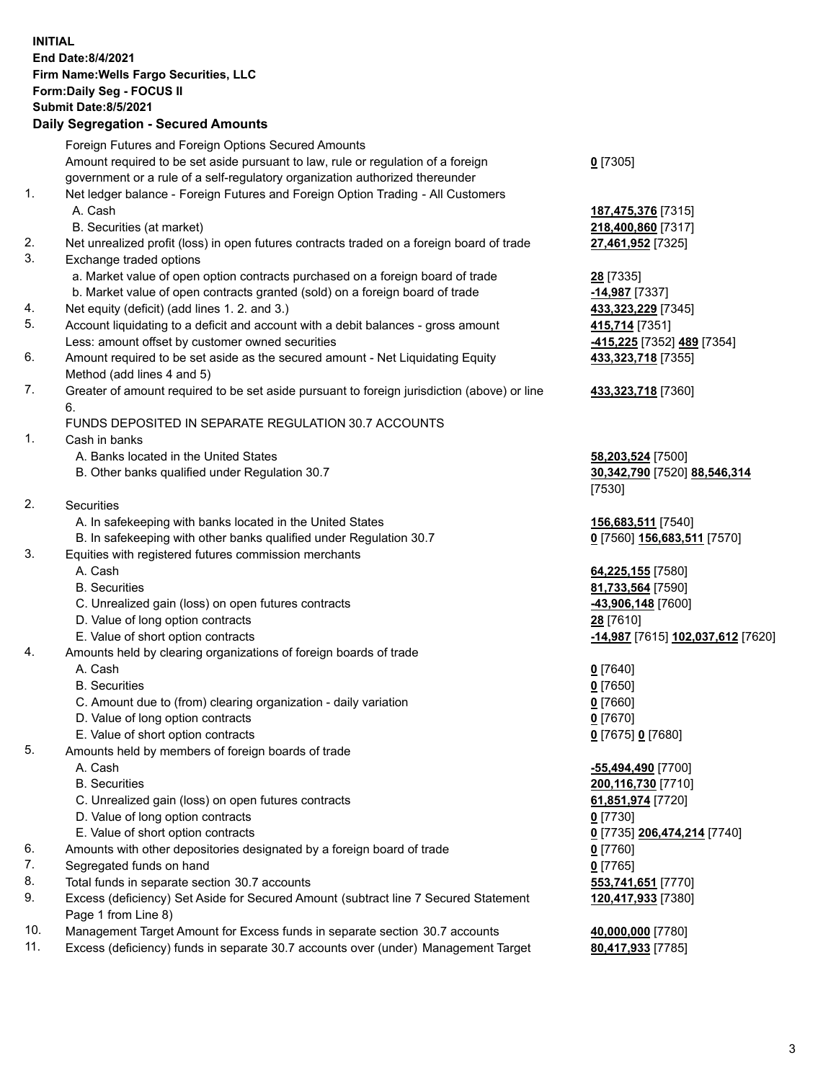**INITIAL End Date:8/4/2021 Firm Name:Wells Fargo Securities, LLC Form:Daily Seg - FOCUS II Submit Date:8/5/2021 Daily Segregation - Secured Amounts** Foreign Futures and Foreign Options Secured Amounts Amount required to be set aside pursuant to law, rule or regulation of a foreign government or a rule of a self-regulatory organization authorized thereunder **0** [7305] 1. Net ledger balance - Foreign Futures and Foreign Option Trading - All Customers A. Cash **187,475,376** [7315] B. Securities (at market) **218,400,860** [7317] 2. Net unrealized profit (loss) in open futures contracts traded on a foreign board of trade **27,461,952** [7325] 3. Exchange traded options a. Market value of open option contracts purchased on a foreign board of trade **28** [7335] b. Market value of open contracts granted (sold) on a foreign board of trade **-14,987** [7337] 4. Net equity (deficit) (add lines 1. 2. and 3.) **433,323,229** [7345] 5. Account liquidating to a deficit and account with a debit balances - gross amount **415,714** [7351] Less: amount offset by customer owned securities **-415,225** [7352] **489** [7354] 6. Amount required to be set aside as the secured amount - Net Liquidating Equity Method (add lines 4 and 5) **433,323,718** [7355] 7. Greater of amount required to be set aside pursuant to foreign jurisdiction (above) or line 6. **433,323,718** [7360] FUNDS DEPOSITED IN SEPARATE REGULATION 30.7 ACCOUNTS 1. Cash in banks A. Banks located in the United States **58,203,524** [7500] B. Other banks qualified under Regulation 30.7 **30,342,790** [7520] **88,546,314** [7530] 2. Securities A. In safekeeping with banks located in the United States **156,683,511** [7540] B. In safekeeping with other banks qualified under Regulation 30.7 **0** [7560] **156,683,511** [7570] 3. Equities with registered futures commission merchants A. Cash **64,225,155** [7580] B. Securities **81,733,564** [7590] C. Unrealized gain (loss) on open futures contracts **-43,906,148** [7600] D. Value of long option contracts **28** [7610] E. Value of short option contracts **-14,987** [7615] **102,037,612** [7620] 4. Amounts held by clearing organizations of foreign boards of trade A. Cash **0** [7640] B. Securities **0** [7650] C. Amount due to (from) clearing organization - daily variation **0** [7660] D. Value of long option contracts **0** [7670] E. Value of short option contracts **0** [7675] **0** [7680] 5. Amounts held by members of foreign boards of trade A. Cash **-55,494,490** [7700] B. Securities **200,116,730** [7710] C. Unrealized gain (loss) on open futures contracts **61,851,974** [7720] D. Value of long option contracts **0** [7730] E. Value of short option contracts **0** [7735] **206,474,214** [7740] 6. Amounts with other depositories designated by a foreign board of trade **0** [7760] 7. Segregated funds on hand **0** [7765] 8. Total funds in separate section 30.7 accounts **553,741,651** [7770] 9. Excess (deficiency) Set Aside for Secured Amount (subtract line 7 Secured Statement Page 1 from Line 8) **120,417,933** [7380]

- 10. Management Target Amount for Excess funds in separate section 30.7 accounts **40,000,000** [7780]
- 11. Excess (deficiency) funds in separate 30.7 accounts over (under) Management Target **80,417,933** [7785]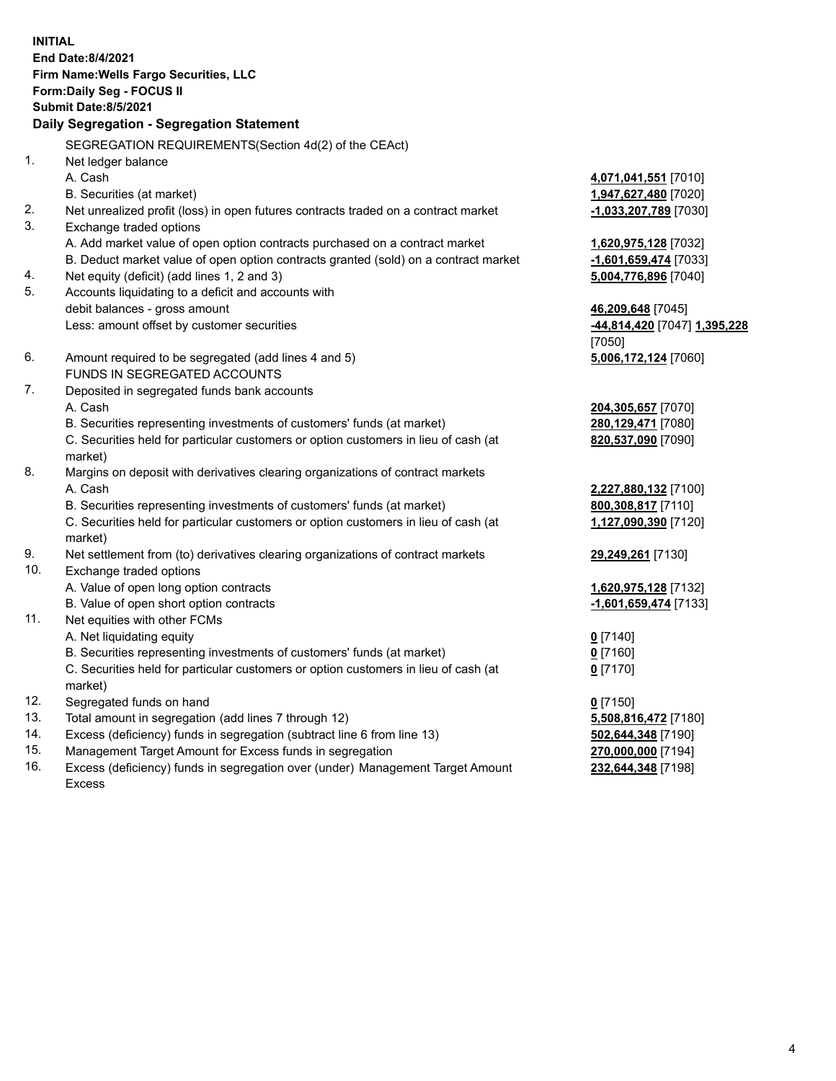**INITIAL End Date:8/4/2021 Firm Name:Wells Fargo Securities, LLC Form:Daily Seg - FOCUS II Submit Date:8/5/2021 Daily Segregation - Segregation Statement** SEGREGATION REQUIREMENTS(Section 4d(2) of the CEAct) 1. Net ledger balance A. Cash **4,071,041,551** [7010] B. Securities (at market) **1,947,627,480** [7020] 2. Net unrealized profit (loss) in open futures contracts traded on a contract market **-1,033,207,789** [7030] 3. Exchange traded options A. Add market value of open option contracts purchased on a contract market **1,620,975,128** [7032] B. Deduct market value of open option contracts granted (sold) on a contract market **-1,601,659,474** [7033] 4. Net equity (deficit) (add lines 1, 2 and 3) **5,004,776,896** [7040] 5. Accounts liquidating to a deficit and accounts with debit balances - gross amount **46,209,648** [7045] Less: amount offset by customer securities **-44,814,420** [7047] **1,395,228** [7050] 6. Amount required to be segregated (add lines 4 and 5) **5,006,172,124** [7060] FUNDS IN SEGREGATED ACCOUNTS 7. Deposited in segregated funds bank accounts A. Cash **204,305,657** [7070] B. Securities representing investments of customers' funds (at market) **280,129,471** [7080] C. Securities held for particular customers or option customers in lieu of cash (at market) **820,537,090** [7090] 8. Margins on deposit with derivatives clearing organizations of contract markets A. Cash **2,227,880,132** [7100] B. Securities representing investments of customers' funds (at market) **800,308,817** [7110] C. Securities held for particular customers or option customers in lieu of cash (at market) **1,127,090,390** [7120] 9. Net settlement from (to) derivatives clearing organizations of contract markets **29,249,261** [7130] 10. Exchange traded options A. Value of open long option contracts **1,620,975,128** [7132] B. Value of open short option contracts **and the set of our of the set of our of the set of our of the set of the set of the set of the set of the set of the set of the set of the set of the set of the set of the set of th** 11. Net equities with other FCMs A. Net liquidating equity **0** [7140] B. Securities representing investments of customers' funds (at market) **0** [7160] C. Securities held for particular customers or option customers in lieu of cash (at market) **0** [7170] 12. Segregated funds on hand **0** [7150] 13. Total amount in segregation (add lines 7 through 12) **5,508,816,472** [7180] 14. Excess (deficiency) funds in segregation (subtract line 6 from line 13) **502,644,348** [7190] 15. Management Target Amount for Excess funds in segregation **270,000,000** [7194] **232,644,348** [7198]

16. Excess (deficiency) funds in segregation over (under) Management Target Amount Excess